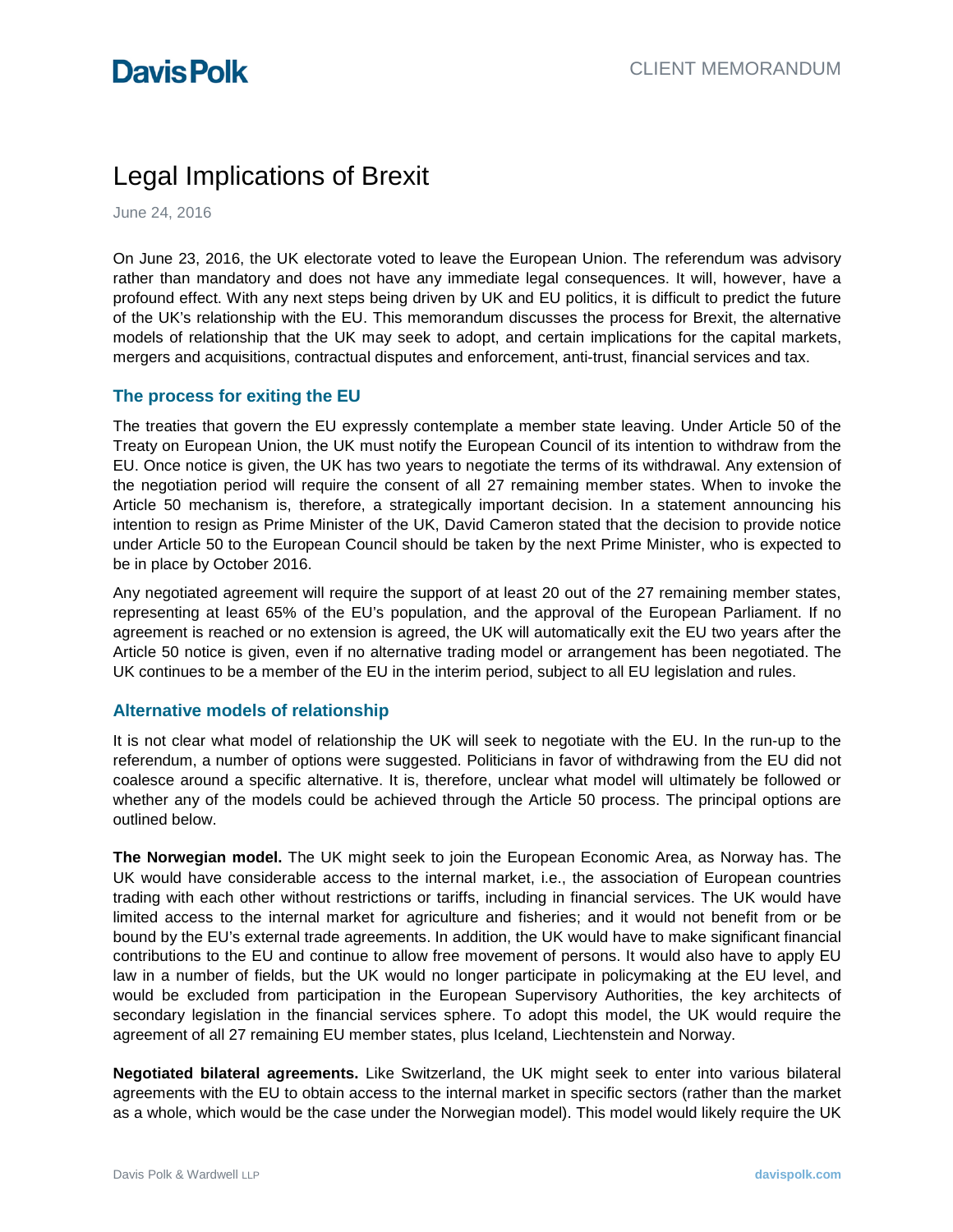# Legal Implications of Brexit

June 24, 2016

On June 23, 2016, the UK electorate voted to leave the European Union. The referendum was advisory rather than mandatory and does not have any immediate legal consequences. It will, however, have a profound effect. With any next steps being driven by UK and EU politics, it is difficult to predict the future of the UK's relationship with the EU. This memorandum discusses the process for Brexit, the alternative models of relationship that the UK may seek to adopt, and certain implications for the capital markets, mergers and acquisitions, contractual disputes and enforcement, anti-trust, financial services and tax.

### **The process for exiting the EU**

The treaties that govern the EU expressly contemplate a member state leaving. Under Article 50 of the Treaty on European Union, the UK must notify the European Council of its intention to withdraw from the EU. Once notice is given, the UK has two years to negotiate the terms of its withdrawal. Any extension of the negotiation period will require the consent of all 27 remaining member states. When to invoke the Article 50 mechanism is, therefore, a strategically important decision. In a statement announcing his intention to resign as Prime Minister of the UK, David Cameron stated that the decision to provide notice under Article 50 to the European Council should be taken by the next Prime Minister, who is expected to be in place by October 2016.

Any negotiated agreement will require the support of at least 20 out of the 27 remaining member states, representing at least 65% of the EU's population, and the approval of the European Parliament. If no agreement is reached or no extension is agreed, the UK will automatically exit the EU two years after the Article 50 notice is given, even if no alternative trading model or arrangement has been negotiated. The UK continues to be a member of the EU in the interim period, subject to all EU legislation and rules.

### **Alternative models of relationship**

It is not clear what model of relationship the UK will seek to negotiate with the EU. In the run-up to the referendum, a number of options were suggested. Politicians in favor of withdrawing from the EU did not coalesce around a specific alternative. It is, therefore, unclear what model will ultimately be followed or whether any of the models could be achieved through the Article 50 process. The principal options are outlined below.

**The Norwegian model.** The UK might seek to join the European Economic Area, as Norway has. The UK would have considerable access to the internal market, i.e., the association of European countries trading with each other without restrictions or tariffs, including in financial services. The UK would have limited access to the internal market for agriculture and fisheries; and it would not benefit from or be bound by the EU's external trade agreements. In addition, the UK would have to make significant financial contributions to the EU and continue to allow free movement of persons. It would also have to apply EU law in a number of fields, but the UK would no longer participate in policymaking at the EU level, and would be excluded from participation in the European Supervisory Authorities, the key architects of secondary legislation in the financial services sphere. To adopt this model, the UK would require the agreement of all 27 remaining EU member states, plus Iceland, Liechtenstein and Norway.

**Negotiated bilateral agreements.** Like Switzerland, the UK might seek to enter into various bilateral agreements with the EU to obtain access to the internal market in specific sectors (rather than the market as a whole, which would be the case under the Norwegian model). This model would likely require the UK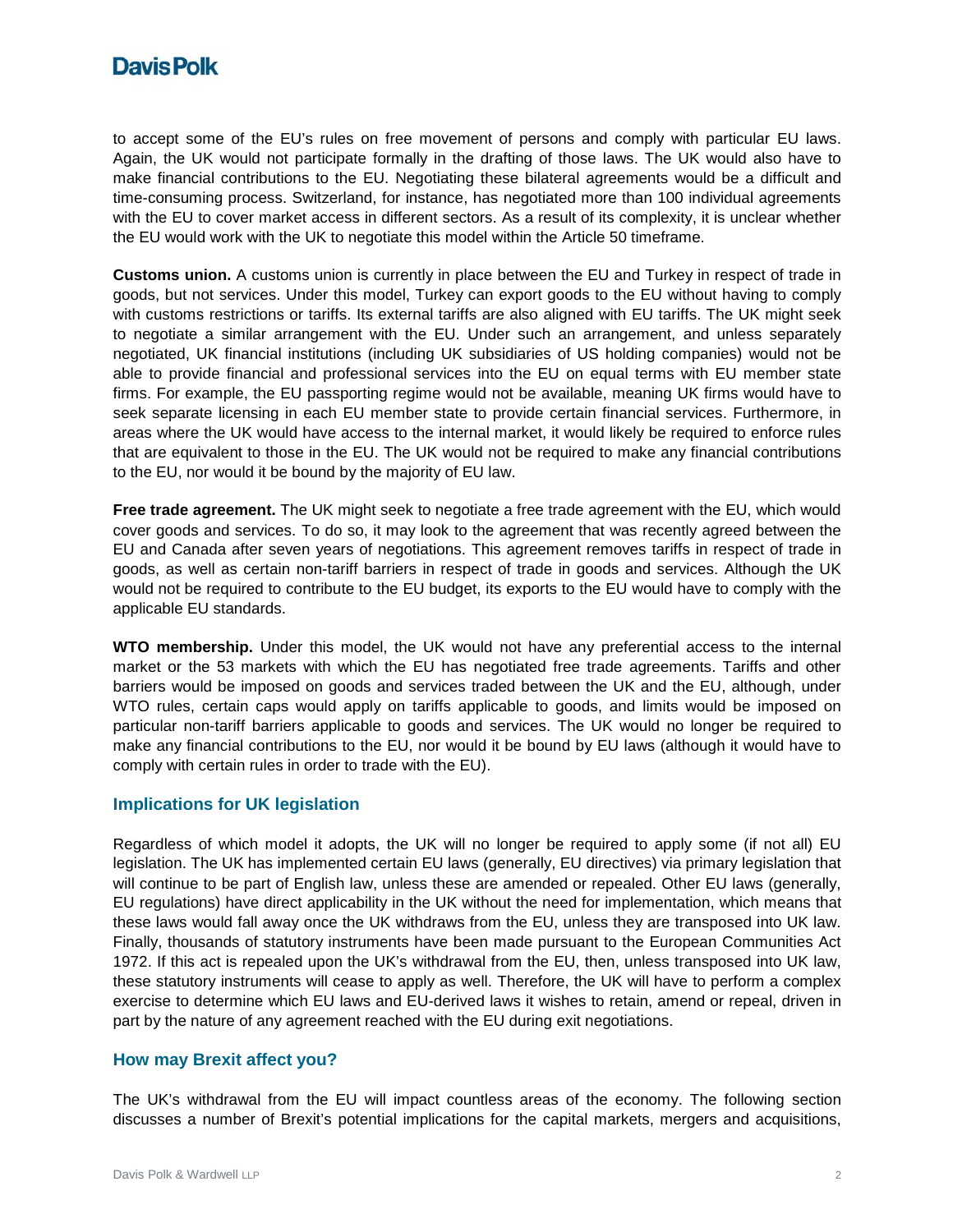# **DavisPolk**

to accept some of the EU's rules on free movement of persons and comply with particular EU laws. Again, the UK would not participate formally in the drafting of those laws. The UK would also have to make financial contributions to the EU. Negotiating these bilateral agreements would be a difficult and time-consuming process. Switzerland, for instance, has negotiated more than 100 individual agreements with the EU to cover market access in different sectors. As a result of its complexity, it is unclear whether the EU would work with the UK to negotiate this model within the Article 50 timeframe.

**Customs union.** A customs union is currently in place between the EU and Turkey in respect of trade in goods, but not services. Under this model, Turkey can export goods to the EU without having to comply with customs restrictions or tariffs. Its external tariffs are also aligned with EU tariffs. The UK might seek to negotiate a similar arrangement with the EU. Under such an arrangement, and unless separately negotiated, UK financial institutions (including UK subsidiaries of US holding companies) would not be able to provide financial and professional services into the EU on equal terms with EU member state firms. For example, the EU passporting regime would not be available, meaning UK firms would have to seek separate licensing in each EU member state to provide certain financial services. Furthermore, in areas where the UK would have access to the internal market, it would likely be required to enforce rules that are equivalent to those in the EU. The UK would not be required to make any financial contributions to the EU, nor would it be bound by the majority of EU law.

**Free trade agreement.** The UK might seek to negotiate a free trade agreement with the EU, which would cover goods and services. To do so, it may look to the agreement that was recently agreed between the EU and Canada after seven years of negotiations. This agreement removes tariffs in respect of trade in goods, as well as certain non-tariff barriers in respect of trade in goods and services. Although the UK would not be required to contribute to the EU budget, its exports to the EU would have to comply with the applicable EU standards.

**WTO membership.** Under this model, the UK would not have any preferential access to the internal market or the 53 markets with which the EU has negotiated free trade agreements. Tariffs and other barriers would be imposed on goods and services traded between the UK and the EU, although, under WTO rules, certain caps would apply on tariffs applicable to goods, and limits would be imposed on particular non-tariff barriers applicable to goods and services. The UK would no longer be required to make any financial contributions to the EU, nor would it be bound by EU laws (although it would have to comply with certain rules in order to trade with the EU).

### **Implications for UK legislation**

Regardless of which model it adopts, the UK will no longer be required to apply some (if not all) EU legislation. The UK has implemented certain EU laws (generally, EU directives) via primary legislation that will continue to be part of English law, unless these are amended or repealed. Other EU laws (generally, EU regulations) have direct applicability in the UK without the need for implementation, which means that these laws would fall away once the UK withdraws from the EU, unless they are transposed into UK law. Finally, thousands of statutory instruments have been made pursuant to the European Communities Act 1972. If this act is repealed upon the UK's withdrawal from the EU, then, unless transposed into UK law, these statutory instruments will cease to apply as well. Therefore, the UK will have to perform a complex exercise to determine which EU laws and EU-derived laws it wishes to retain, amend or repeal, driven in part by the nature of any agreement reached with the EU during exit negotiations.

### **How may Brexit affect you?**

The UK's withdrawal from the EU will impact countless areas of the economy. The following section discusses a number of Brexit's potential implications for the capital markets, mergers and acquisitions,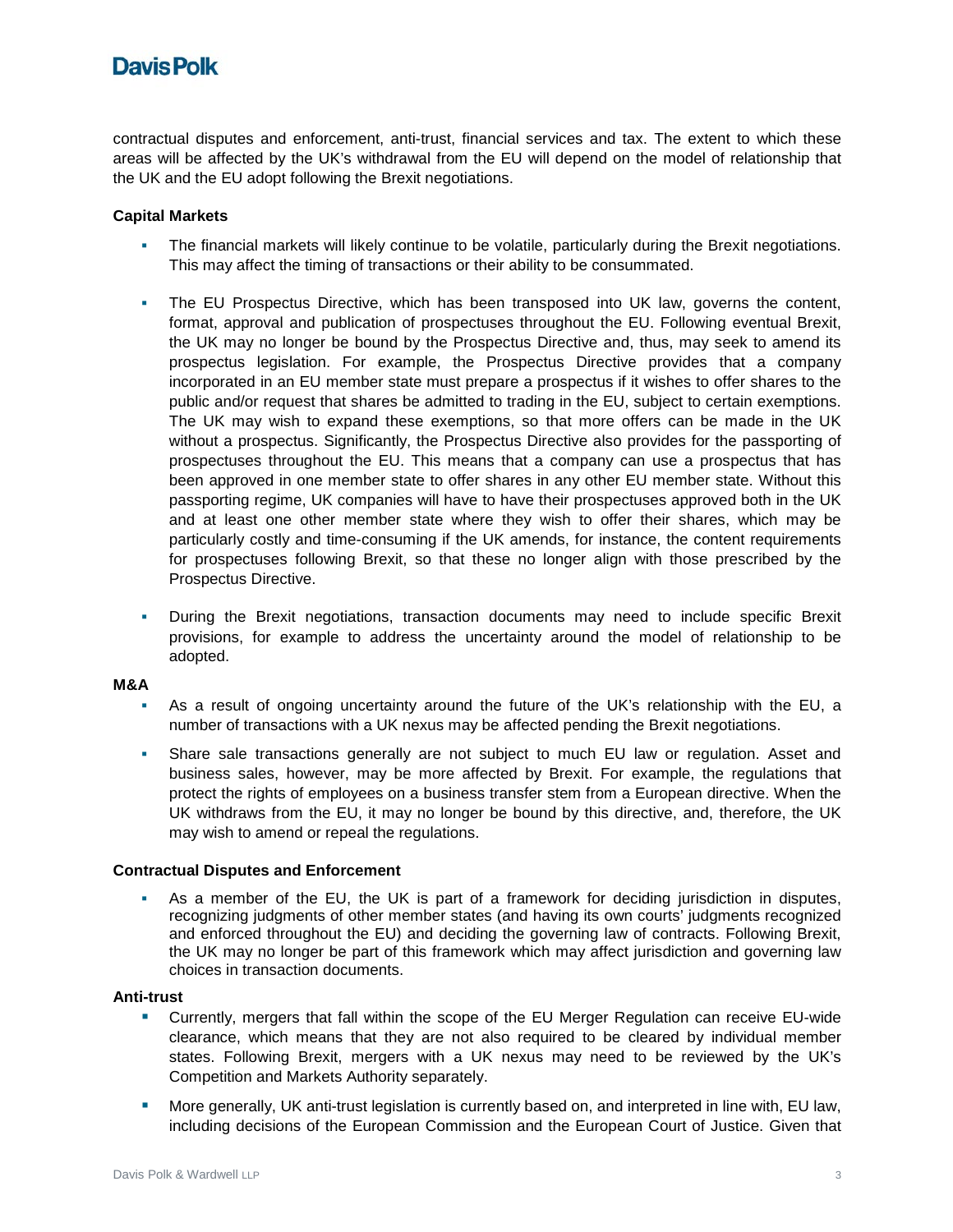# **Davis Polk**

contractual disputes and enforcement, anti-trust, financial services and tax. The extent to which these areas will be affected by the UK's withdrawal from the EU will depend on the model of relationship that the UK and the EU adopt following the Brexit negotiations.

#### **Capital Markets**

- The financial markets will likely continue to be volatile, particularly during the Brexit negotiations. This may affect the timing of transactions or their ability to be consummated.
- The EU Prospectus Directive, which has been transposed into UK law, governs the content, format, approval and publication of prospectuses throughout the EU. Following eventual Brexit, the UK may no longer be bound by the Prospectus Directive and, thus, may seek to amend its prospectus legislation. For example, the Prospectus Directive provides that a company incorporated in an EU member state must prepare a prospectus if it wishes to offer shares to the public and/or request that shares be admitted to trading in the EU, subject to certain exemptions. The UK may wish to expand these exemptions, so that more offers can be made in the UK without a prospectus. Significantly, the Prospectus Directive also provides for the passporting of prospectuses throughout the EU. This means that a company can use a prospectus that has been approved in one member state to offer shares in any other EU member state. Without this passporting regime, UK companies will have to have their prospectuses approved both in the UK and at least one other member state where they wish to offer their shares, which may be particularly costly and time-consuming if the UK amends, for instance, the content requirements for prospectuses following Brexit, so that these no longer align with those prescribed by the Prospectus Directive.
- During the Brexit negotiations, transaction documents may need to include specific Brexit provisions, for example to address the uncertainty around the model of relationship to be adopted.

#### **M&A**

- As a result of ongoing uncertainty around the future of the UK's relationship with the EU, a number of transactions with a UK nexus may be affected pending the Brexit negotiations.
- Share sale transactions generally are not subject to much EU law or regulation. Asset and business sales, however, may be more affected by Brexit. For example, the regulations that protect the rights of employees on a business transfer stem from a European directive. When the UK withdraws from the EU, it may no longer be bound by this directive, and, therefore, the UK may wish to amend or repeal the regulations.

#### **Contractual Disputes and Enforcement**

 As a member of the EU, the UK is part of a framework for deciding jurisdiction in disputes, recognizing judgments of other member states (and having its own courts' judgments recognized and enforced throughout the EU) and deciding the governing law of contracts. Following Brexit, the UK may no longer be part of this framework which may affect jurisdiction and governing law choices in transaction documents.

#### **Anti-trust**

- Currently, mergers that fall within the scope of the EU Merger Regulation can receive EU-wide clearance, which means that they are not also required to be cleared by individual member states. Following Brexit, mergers with a UK nexus may need to be reviewed by the UK's Competition and Markets Authority separately.
- More generally, UK anti-trust legislation is currently based on, and interpreted in line with, EU law, including decisions of the European Commission and the European Court of Justice. Given that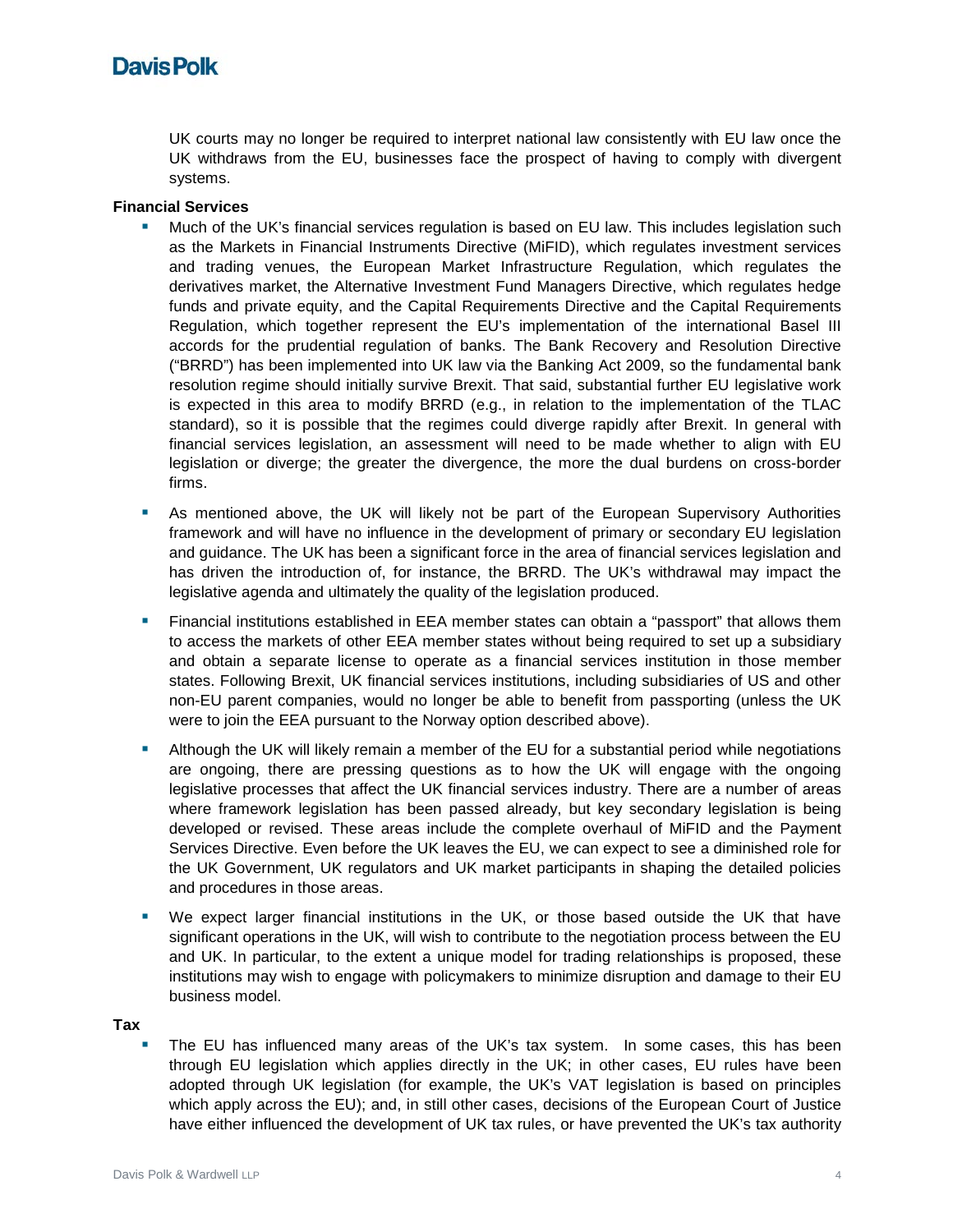## **DavisPolk**

UK courts may no longer be required to interpret national law consistently with EU law once the UK withdraws from the EU, businesses face the prospect of having to comply with divergent systems.

#### **Financial Services**

- Much of the UK's financial services regulation is based on EU law. This includes legislation such as the Markets in Financial Instruments Directive (MiFID), which regulates investment services and trading venues, the European Market Infrastructure Regulation, which regulates the derivatives market, the Alternative Investment Fund Managers Directive, which regulates hedge funds and private equity, and the Capital Requirements Directive and the Capital Requirements Regulation, which together represent the EU's implementation of the international Basel III accords for the prudential regulation of banks. The Bank Recovery and Resolution Directive ("BRRD") has been implemented into UK law via the Banking Act 2009, so the fundamental bank resolution regime should initially survive Brexit. That said, substantial further EU legislative work is expected in this area to modify BRRD (e.g., in relation to the implementation of the TLAC standard), so it is possible that the regimes could diverge rapidly after Brexit. In general with financial services legislation, an assessment will need to be made whether to align with EU legislation or diverge; the greater the divergence, the more the dual burdens on cross-border firms.
- As mentioned above, the UK will likely not be part of the European Supervisory Authorities framework and will have no influence in the development of primary or secondary EU legislation and guidance. The UK has been a significant force in the area of financial services legislation and has driven the introduction of, for instance, the BRRD. The UK's withdrawal may impact the legislative agenda and ultimately the quality of the legislation produced.
- Financial institutions established in EEA member states can obtain a "passport" that allows them to access the markets of other EEA member states without being required to set up a subsidiary and obtain a separate license to operate as a financial services institution in those member states. Following Brexit, UK financial services institutions, including subsidiaries of US and other non-EU parent companies, would no longer be able to benefit from passporting (unless the UK were to join the EEA pursuant to the Norway option described above).
- Although the UK will likely remain a member of the EU for a substantial period while negotiations are ongoing, there are pressing questions as to how the UK will engage with the ongoing legislative processes that affect the UK financial services industry. There are a number of areas where framework legislation has been passed already, but key secondary legislation is being developed or revised. These areas include the complete overhaul of MiFID and the Payment Services Directive. Even before the UK leaves the EU, we can expect to see a diminished role for the UK Government, UK regulators and UK market participants in shaping the detailed policies and procedures in those areas.
- We expect larger financial institutions in the UK, or those based outside the UK that have significant operations in the UK, will wish to contribute to the negotiation process between the EU and UK. In particular, to the extent a unique model for trading relationships is proposed, these institutions may wish to engage with policymakers to minimize disruption and damage to their EU business model.

#### **Tax**

 The EU has influenced many areas of the UK's tax system. In some cases, this has been through EU legislation which applies directly in the UK; in other cases, EU rules have been adopted through UK legislation (for example, the UK's VAT legislation is based on principles which apply across the EU); and, in still other cases, decisions of the European Court of Justice have either influenced the development of UK tax rules, or have prevented the UK's tax authority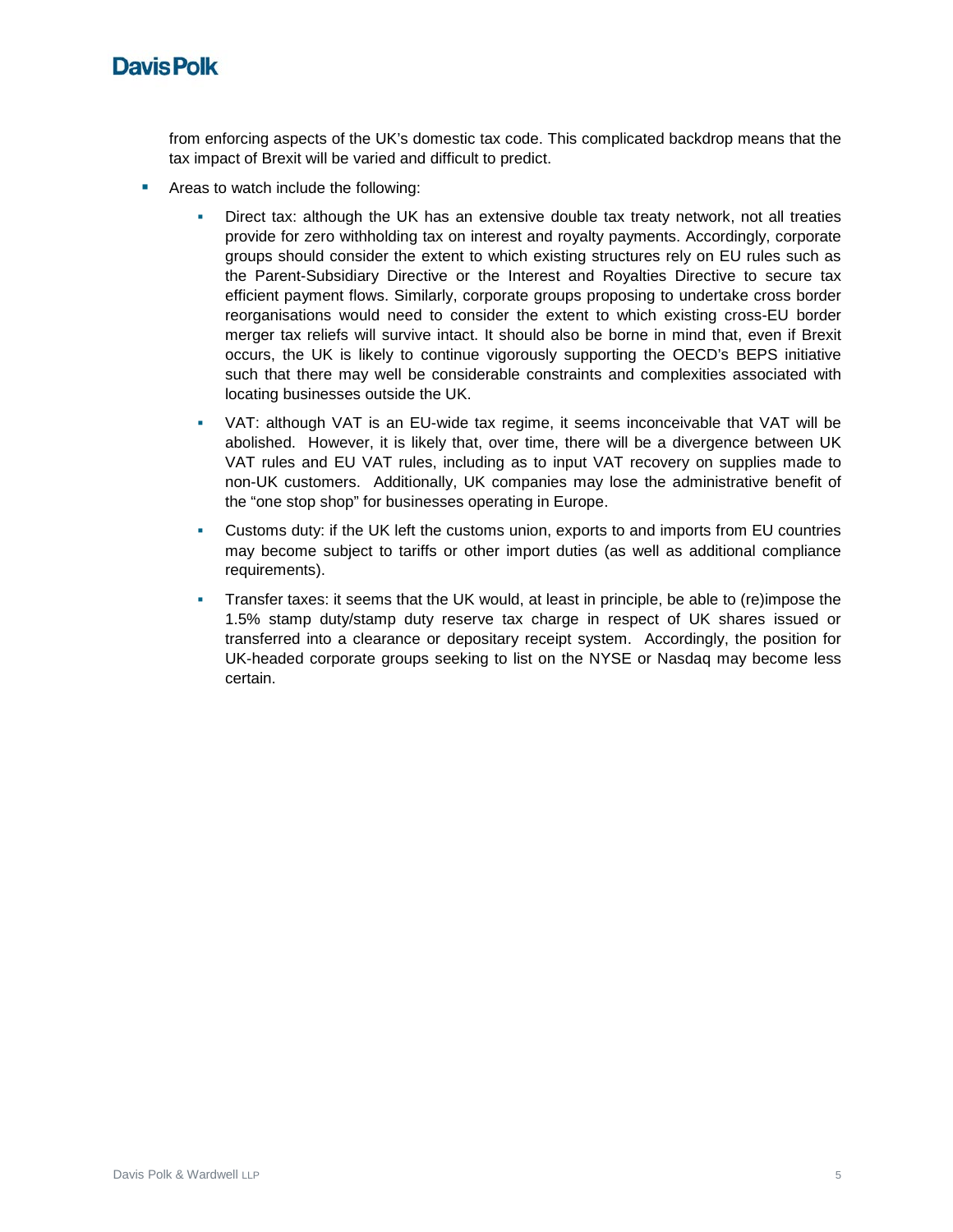# **Davis Polk**

from enforcing aspects of the UK's domestic tax code. This complicated backdrop means that the tax impact of Brexit will be varied and difficult to predict.

- **Areas to watch include the following:** 
	- Direct tax: although the UK has an extensive double tax treaty network, not all treaties provide for zero withholding tax on interest and royalty payments. Accordingly, corporate groups should consider the extent to which existing structures rely on EU rules such as the Parent-Subsidiary Directive or the Interest and Royalties Directive to secure tax efficient payment flows. Similarly, corporate groups proposing to undertake cross border reorganisations would need to consider the extent to which existing cross-EU border merger tax reliefs will survive intact. It should also be borne in mind that, even if Brexit occurs, the UK is likely to continue vigorously supporting the OECD's BEPS initiative such that there may well be considerable constraints and complexities associated with locating businesses outside the UK.
	- VAT: although VAT is an EU-wide tax regime, it seems inconceivable that VAT will be abolished. However, it is likely that, over time, there will be a divergence between UK VAT rules and EU VAT rules, including as to input VAT recovery on supplies made to non-UK customers. Additionally, UK companies may lose the administrative benefit of the "one stop shop" for businesses operating in Europe.
	- Customs duty: if the UK left the customs union, exports to and imports from EU countries may become subject to tariffs or other import duties (as well as additional compliance requirements).
	- Transfer taxes: it seems that the UK would, at least in principle, be able to (re)impose the 1.5% stamp duty/stamp duty reserve tax charge in respect of UK shares issued or transferred into a clearance or depositary receipt system. Accordingly, the position for UK-headed corporate groups seeking to list on the NYSE or Nasdaq may become less certain.